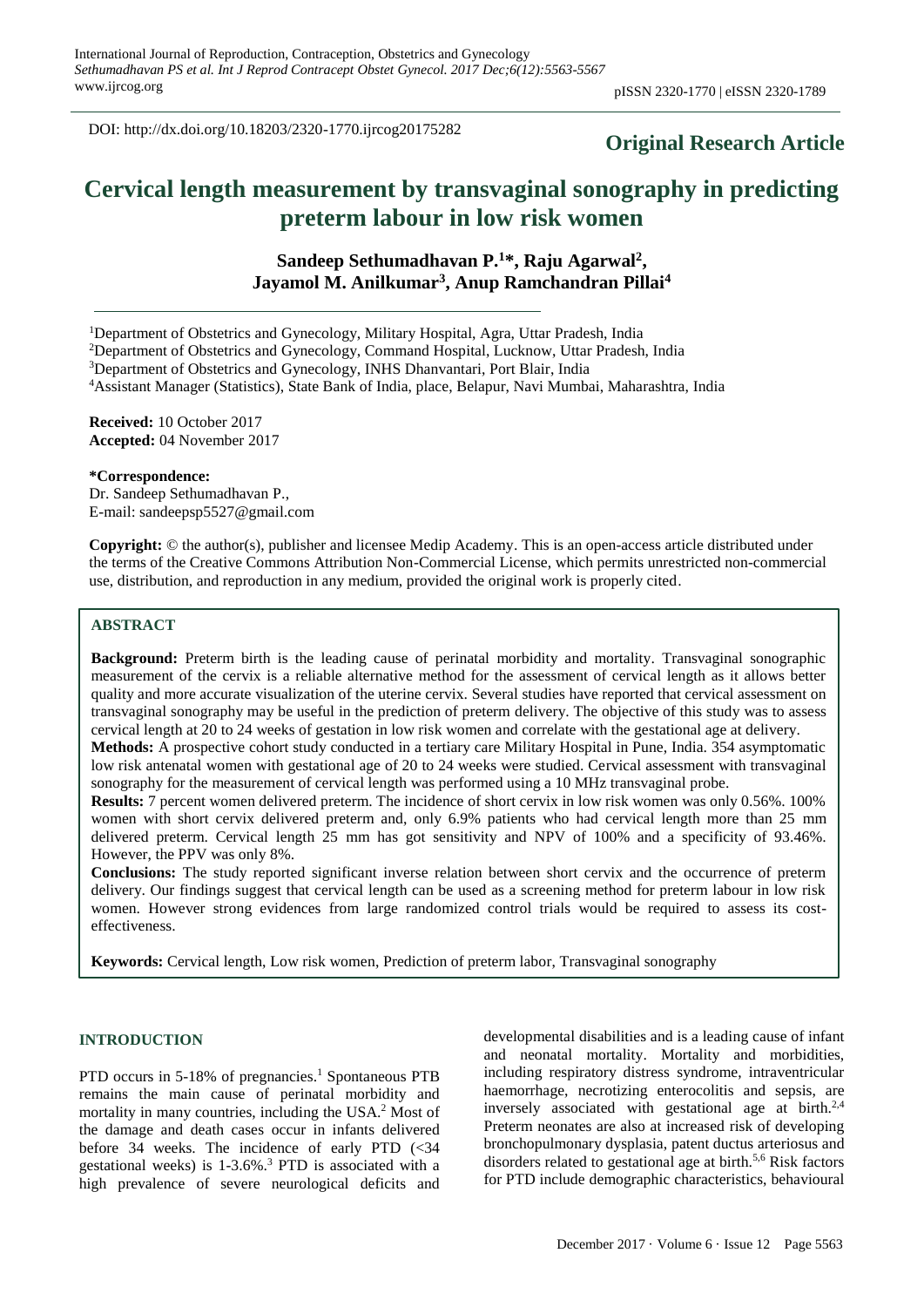DOI: http://dx.doi.org/10.18203/2320-1770.ijrcog20175282

## **Original Research Article**

# **Cervical length measurement by transvaginal sonography in predicting preterm labour in low risk women**

**Sandeep Sethumadhavan P.<sup>1</sup>\*, Raju Agarwal<sup>2</sup> , Jayamol M. Anilkumar<sup>3</sup> , Anup Ramchandran Pillai<sup>4</sup>**

<sup>1</sup>Department of Obstetrics and Gynecology, Military Hospital, Agra, Uttar Pradesh, India

<sup>2</sup>Department of Obstetrics and Gynecology, Command Hospital, Lucknow, Uttar Pradesh, India

<sup>3</sup>Department of Obstetrics and Gynecology, INHS Dhanvantari, Port Blair, India

<sup>4</sup>Assistant Manager (Statistics), State Bank of India, place, Belapur, Navi Mumbai, Maharashtra, India

**Received:** 10 October 2017 **Accepted:** 04 November 2017

#### **\*Correspondence:**

Dr. Sandeep Sethumadhavan P., E-mail: sandeepsp5527@gmail.com

**Copyright:** © the author(s), publisher and licensee Medip Academy. This is an open-access article distributed under the terms of the Creative Commons Attribution Non-Commercial License, which permits unrestricted non-commercial use, distribution, and reproduction in any medium, provided the original work is properly cited.

## **ABSTRACT**

**Background:** Preterm birth is the leading cause of perinatal morbidity and mortality. Transvaginal sonographic measurement of the cervix is a reliable alternative method for the assessment of cervical length as it allows better quality and more accurate visualization of the uterine cervix. Several studies have reported that cervical assessment on transvaginal sonography may be useful in the prediction of preterm delivery. The objective of this study was to assess cervical length at 20 to 24 weeks of gestation in low risk women and correlate with the gestational age at delivery.

**Methods:** A prospective cohort study conducted in a tertiary care Military Hospital in Pune, India. 354 asymptomatic low risk antenatal women with gestational age of 20 to 24 weeks were studied. Cervical assessment with transvaginal sonography for the measurement of cervical length was performed using a 10 MHz transvaginal probe.

**Results:** 7 percent women delivered preterm. The incidence of short cervix in low risk women was only 0.56%. 100% women with short cervix delivered preterm and, only 6.9% patients who had cervical length more than 25 mm delivered preterm. Cervical length 25 mm has got sensitivity and NPV of 100% and a specificity of 93.46%. However, the PPV was only 8%.

**Conclusions:** The study reported significant inverse relation between short cervix and the occurrence of preterm delivery. Our findings suggest that cervical length can be used as a screening method for preterm labour in low risk women. However strong evidences from large randomized control trials would be required to assess its costeffectiveness.

**Keywords:** Cervical length, Low risk women, Prediction of preterm labor, Transvaginal sonography

## **INTRODUCTION**

PTD occurs in 5-18% of pregnancies.<sup>1</sup> Spontaneous PTB remains the main cause of perinatal morbidity and mortality in many countries, including the USA.<sup>2</sup> Most of the damage and death cases occur in infants delivered before 34 weeks. The incidence of early PTD  $\ll$ 34 gestational weeks) is 1-3.6%. <sup>3</sup> PTD is associated with a high prevalence of severe neurological deficits and developmental disabilities and is a leading cause of infant and neonatal mortality. Mortality and morbidities, including respiratory distress syndrome, intraventricular haemorrhage, necrotizing enterocolitis and sepsis, are inversely associated with gestational age at birth.<sup>2,4</sup> Preterm neonates are also at increased risk of developing bronchopulmonary dysplasia, patent ductus arteriosus and disorders related to gestational age at birth.<sup>5,6</sup> Risk factors for PTD include demographic characteristics, behavioural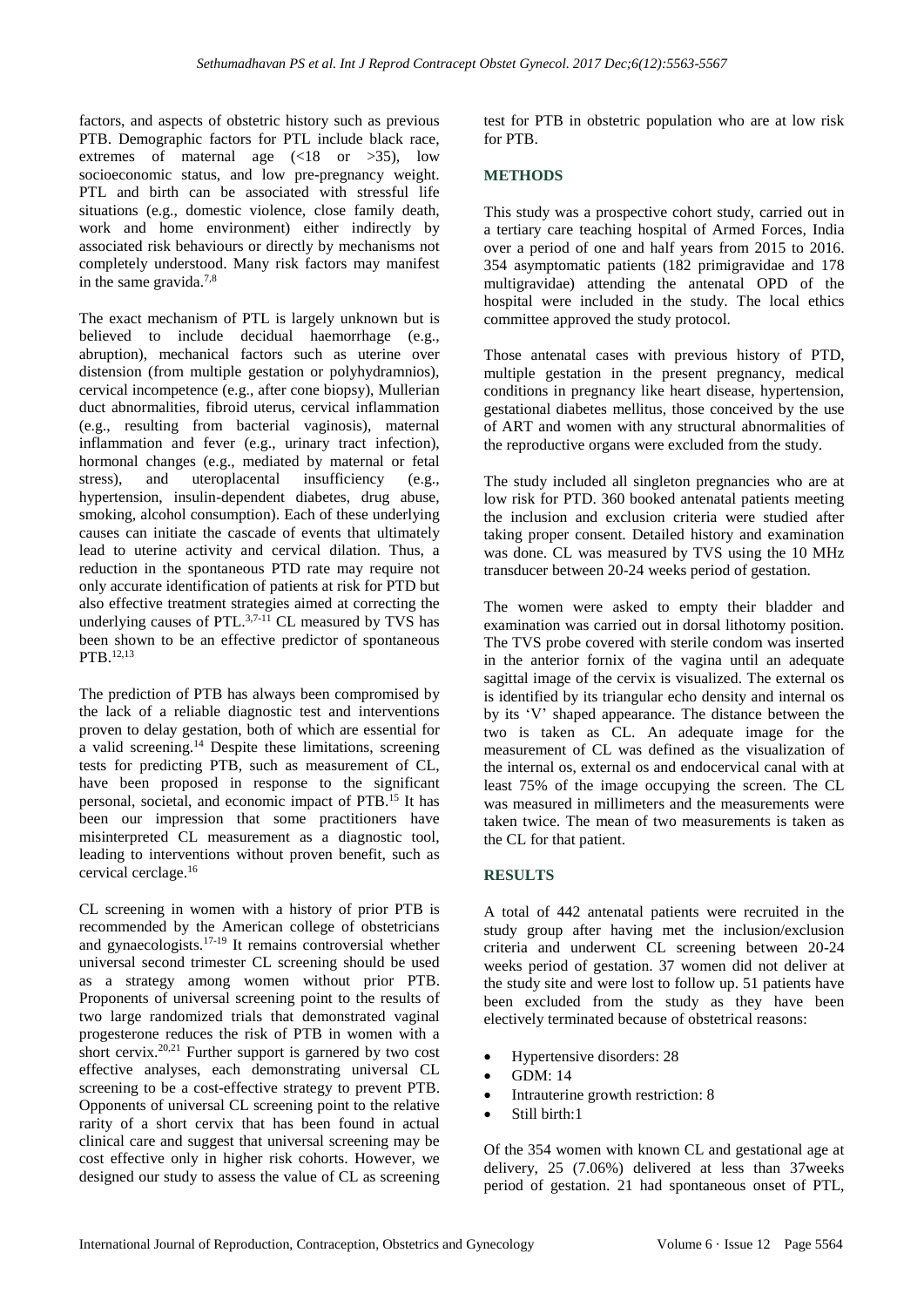factors, and aspects of obstetric history such as previous PTB. Demographic factors for PTL include black race, extremes of maternal age (<18 or >35), low socioeconomic status, and low pre-pregnancy weight. PTL and birth can be associated with stressful life situations (e.g., domestic violence, close family death, work and home environment) either indirectly by associated risk behaviours or directly by mechanisms not completely understood. Many risk factors may manifest in the same gravida.<sup>7,8</sup>

The exact mechanism of PTL is largely unknown but is believed to include decidual haemorrhage (e.g., abruption), mechanical factors such as uterine over distension (from multiple gestation or polyhydramnios), cervical incompetence (e.g., after cone biopsy), Mullerian duct abnormalities, fibroid uterus, cervical inflammation (e.g., resulting from bacterial vaginosis), maternal inflammation and fever (e.g., urinary tract infection), hormonal changes (e.g., mediated by maternal or fetal stress), and uteroplacental insufficiency (e.g., hypertension, insulin-dependent diabetes, drug abuse, smoking, alcohol consumption). Each of these underlying causes can initiate the cascade of events that ultimately lead to uterine activity and cervical dilation. Thus, a reduction in the spontaneous PTD rate may require not only accurate identification of patients at risk for PTD but also effective treatment strategies aimed at correcting the underlying causes of PTL. $^{3,7-11}$  CL measured by TVS has been shown to be an effective predictor of spontaneous PTB.12,13

The prediction of PTB has always been compromised by the lack of a reliable diagnostic test and interventions proven to delay gestation, both of which are essential for a valid screening.<sup>14</sup> Despite these limitations, screening tests for predicting PTB, such as measurement of CL, have been proposed in response to the significant personal, societal, and economic impact of PTB.<sup>15</sup> It has been our impression that some practitioners have misinterpreted CL measurement as a diagnostic tool, leading to interventions without proven benefit, such as cervical cerclage.<sup>16</sup>

CL screening in women with a history of prior PTB is recommended by the American college of obstetricians and gynaecologists.17-19 It remains controversial whether universal second trimester CL screening should be used as a strategy among women without prior PTB. Proponents of universal screening point to the results of two large randomized trials that demonstrated vaginal progesterone reduces the risk of PTB in women with a short cervix.<sup>20,21</sup> Further support is garnered by two cost effective analyses, each demonstrating universal CL screening to be a cost-effective strategy to prevent PTB. Opponents of universal CL screening point to the relative rarity of a short cervix that has been found in actual clinical care and suggest that universal screening may be cost effective only in higher risk cohorts. However, we designed our study to assess the value of CL as screening test for PTB in obstetric population who are at low risk for PTB.

## **METHODS**

This study was a prospective cohort study, carried out in a tertiary care teaching hospital of Armed Forces, India over a period of one and half years from 2015 to 2016. 354 asymptomatic patients (182 primigravidae and 178 multigravidae) attending the antenatal OPD of the hospital were included in the study. The local ethics committee approved the study protocol.

Those antenatal cases with previous history of PTD, multiple gestation in the present pregnancy, medical conditions in pregnancy like heart disease, hypertension, gestational diabetes mellitus, those conceived by the use of ART and women with any structural abnormalities of the reproductive organs were excluded from the study.

The study included all singleton pregnancies who are at low risk for PTD. 360 booked antenatal patients meeting the inclusion and exclusion criteria were studied after taking proper consent. Detailed history and examination was done. CL was measured by TVS using the 10 MHz transducer between 20-24 weeks period of gestation.

The women were asked to empty their bladder and examination was carried out in dorsal lithotomy position. The TVS probe covered with sterile condom was inserted in the anterior fornix of the vagina until an adequate sagittal image of the cervix is visualized. The external os is identified by its triangular echo density and internal os by its 'V' shaped appearance. The distance between the two is taken as CL. An adequate image for the measurement of CL was defined as the visualization of the internal os, external os and endocervical canal with at least 75% of the image occupying the screen. The CL was measured in millimeters and the measurements were taken twice. The mean of two measurements is taken as the CL for that patient.

## **RESULTS**

A total of 442 antenatal patients were recruited in the study group after having met the inclusion/exclusion criteria and underwent CL screening between 20-24 weeks period of gestation. 37 women did not deliver at the study site and were lost to follow up. 51 patients have been excluded from the study as they have been electively terminated because of obstetrical reasons:

- Hypertensive disorders: 28
- GDM: 14
- Intrauterine growth restriction: 8
- Still birth:1

Of the 354 women with known CL and gestational age at delivery, 25 (7.06%) delivered at less than 37weeks period of gestation. 21 had spontaneous onset of PTL,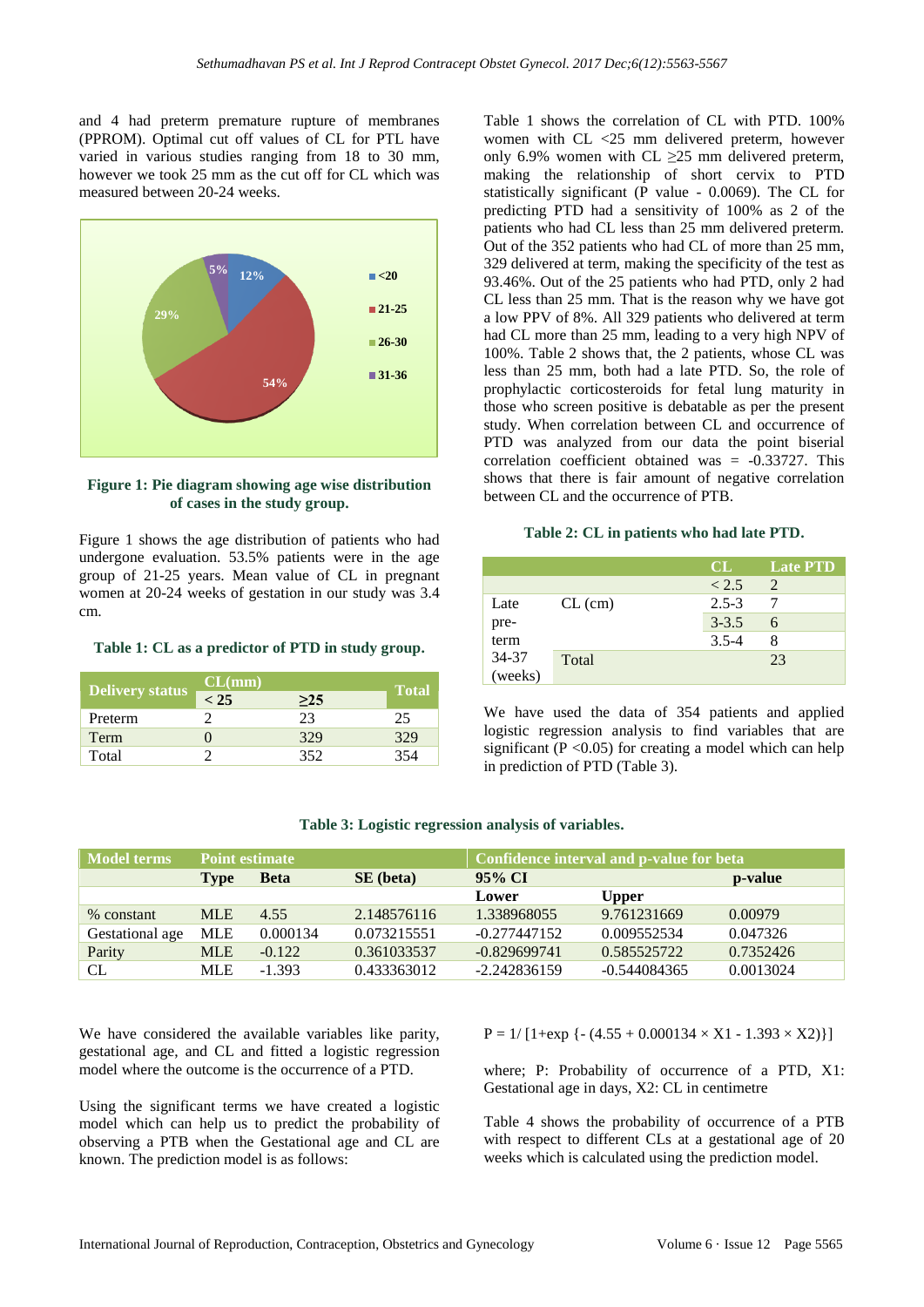and 4 had preterm premature rupture of membranes (PPROM). Optimal cut off values of CL for PTL have varied in various studies ranging from 18 to 30 mm, however we took 25 mm as the cut off for CL which was measured between 20-24 weeks.



**Figure 1: Pie diagram showing age wise distribution of cases in the study group.**

Figure 1 shows the age distribution of patients who had undergone evaluation. 53.5% patients were in the age group of 21-25 years. Mean value of CL in pregnant women at 20-24 weeks of gestation in our study was 3.4 cm.

**Table 1: CL as a predictor of PTD in study group.**

| <b>Delivery status</b> | $\mathbf{CL}(mm)$ |     | <b>Total</b> |  |
|------------------------|-------------------|-----|--------------|--|
|                        | < 25              | >25 |              |  |
| Preterm                |                   | 23  | 25           |  |
| Term                   |                   | 329 | 329          |  |
| Total                  |                   | 352 |              |  |

Table 1 shows the correlation of CL with PTD. 100% women with CL <25 mm delivered preterm, however only 6.9% women with CL  $\geq$ 25 mm delivered preterm, making the relationship of short cervix to PTD statistically significant (P value - 0.0069). The CL for predicting PTD had a sensitivity of 100% as 2 of the patients who had CL less than 25 mm delivered preterm. Out of the 352 patients who had CL of more than 25 mm, 329 delivered at term, making the specificity of the test as 93.46%. Out of the 25 patients who had PTD, only 2 had CL less than 25 mm. That is the reason why we have got a low PPV of 8%. All 329 patients who delivered at term had CL more than 25 mm, leading to a very high NPV of 100%. Table 2 shows that, the 2 patients, whose CL was less than 25 mm, both had a late PTD. So, the role of prophylactic corticosteroids for fetal lung maturity in those who screen positive is debatable as per the present study. When correlation between CL and occurrence of PTD was analyzed from our data the point biserial correlation coefficient obtained was = -0.33727. This shows that there is fair amount of negative correlation between CL and the occurrence of PTB.

#### **Table 2: CL in patients who had late PTD.**

|              |           | CL        | Late PTD |
|--------------|-----------|-----------|----------|
|              |           | < 2.5     | 2        |
| Late         | $CL$ (cm) | $2.5 - 3$ |          |
| pre-<br>term |           | $3 - 3.5$ | 6        |
|              |           | $3.5 - 4$ | 8        |
| 34-37        | Total     |           | 23       |
| (weeks)      |           |           |          |

We have used the data of 354 patients and applied logistic regression analysis to find variables that are significant ( $P < 0.05$ ) for creating a model which can help in prediction of PTD (Table 3).

| <b>Model terms</b> | <b>Point estimate</b> |             |                  | Confidence interval and p-value for beta |                |           |
|--------------------|-----------------------|-------------|------------------|------------------------------------------|----------------|-----------|
|                    | <b>Type</b>           | <b>Beta</b> | <b>SE</b> (beta) | 95% CI                                   |                | p-value   |
|                    |                       |             |                  | Lower                                    | <b>Upper</b>   |           |
| % constant         | <b>MLE</b>            | 4.55        | 2.148576116      | 1.338968055                              | 9.761231669    | 0.00979   |
| Gestational age    | MLE                   | 0.000134    | 0.073215551      | $-0.277447152$                           | 0.009552534    | 0.047326  |
| Parity             | <b>MLE</b>            | $-0.122$    | 0.361033537      | $-0.829699741$                           | 0.585525722    | 0.7352426 |
| CL                 | <b>MLE</b>            | $-1.393$    | 0.433363012      | $-2.242836159$                           | $-0.544084365$ | 0.0013024 |

## **Table 3: Logistic regression analysis of variables.**

We have considered the available variables like parity, gestational age, and CL and fitted a logistic regression model where the outcome is the occurrence of a PTD.

Using the significant terms we have created a logistic model which can help us to predict the probability of observing a PTB when the Gestational age and CL are known. The prediction model is as follows:

 $P = 1/[1+\exp\{- (4.55 + 0.000134 \times X1 - 1.393 \times X2) \}]$ 

where; P: Probability of occurrence of a PTD, X1: Gestational age in days, X2: CL in centimetre

Table 4 shows the probability of occurrence of a PTB with respect to different CLs at a gestational age of 20 weeks which is calculated using the prediction model.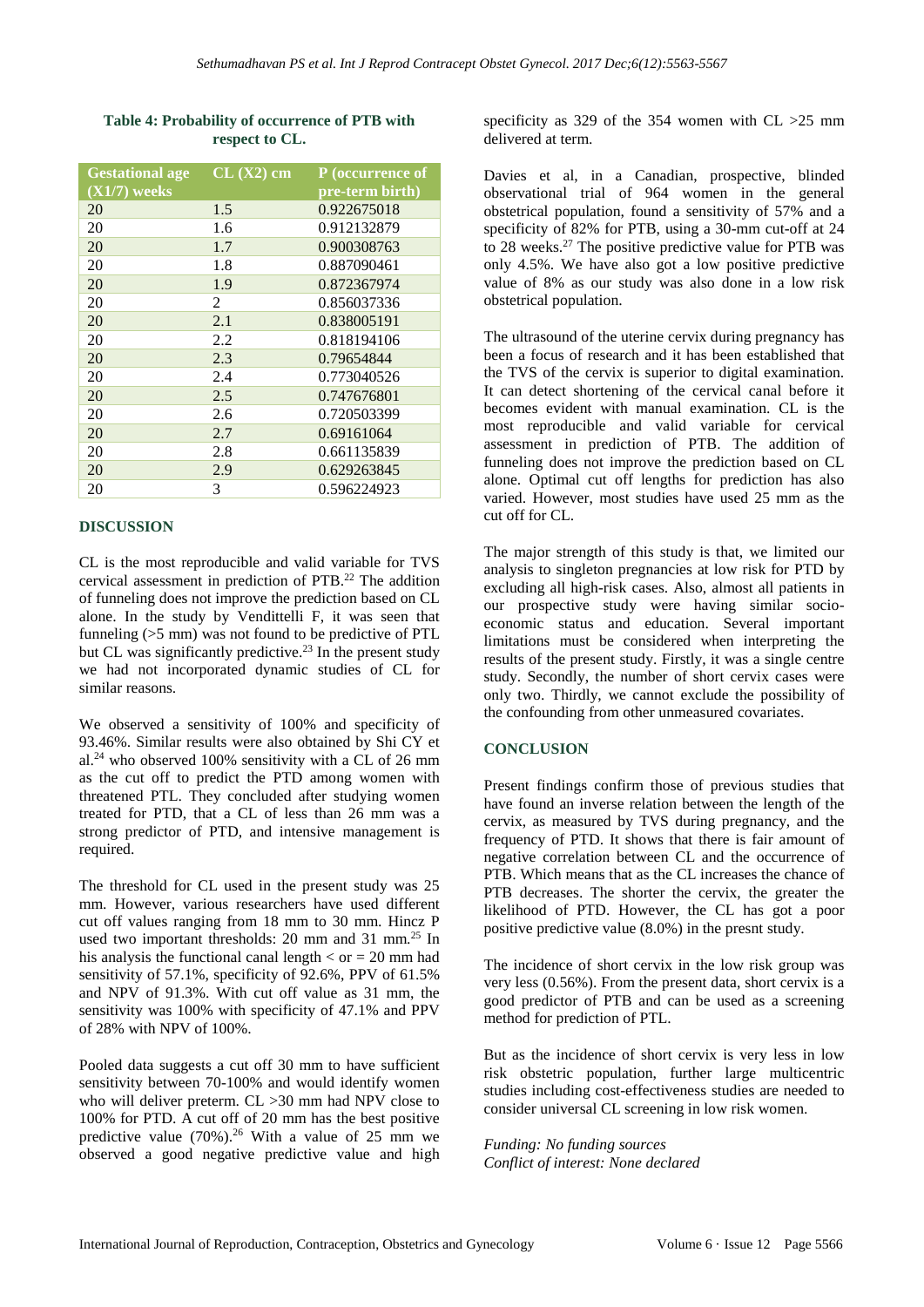| <b>Gestational age</b> | CL (X2) cm | P (occurrence of |
|------------------------|------------|------------------|
| $(X1/7)$ weeks         |            | pre-term birth)  |
| 20                     | 1.5        | 0.922675018      |
| 20                     | 1.6        | 0.912132879      |
| 20                     | 1.7        | 0.900308763      |
| 20                     | 1.8        | 0.887090461      |
| 20                     | 1.9        | 0.872367974      |
| 20                     | 2          | 0.856037336      |
| 20                     | 2.1        | 0.838005191      |
| 20                     | 2.2        | 0.818194106      |
| 20                     | 2.3        | 0.79654844       |
| 20                     | 2.4        | 0.773040526      |
| 20                     | 2.5        | 0.747676801      |
| 20                     | 2.6        | 0.720503399      |
| 20                     | 2.7        | 0.69161064       |
| 20                     | 2.8        | 0.661135839      |
| 20                     | 2.9        | 0.629263845      |
| 20                     | 3          | 0.596224923      |

## **Table 4: Probability of occurrence of PTB with respect to CL.**

## **DISCUSSION**

CL is the most reproducible and valid variable for TVS cervical assessment in prediction of PTB.<sup>22</sup> The addition of funneling does not improve the prediction based on CL alone. In the study by Vendittelli F, it was seen that funneling  $(5 \text{ mm})$  was not found to be predictive of PTL but CL was significantly predictive.<sup>23</sup> In the present study we had not incorporated dynamic studies of CL for similar reasons.

We observed a sensitivity of 100% and specificity of 93.46%. Similar results were also obtained by Shi CY et  $al.<sup>24</sup>$  who observed 100% sensitivity with a CL of 26 mm as the cut off to predict the PTD among women with threatened PTL. They concluded after studying women treated for PTD, that a CL of less than 26 mm was a strong predictor of PTD, and intensive management is required.

The threshold for CL used in the present study was 25 mm. However, various researchers have used different cut off values ranging from 18 mm to 30 mm. Hincz P used two important thresholds: 20 mm and 31 mm.<sup>25</sup> In his analysis the functional canal length  $\lt$  or  $= 20$  mm had sensitivity of 57.1%, specificity of 92.6%, PPV of 61.5% and NPV of 91.3%. With cut off value as 31 mm, the sensitivity was 100% with specificity of 47.1% and PPV of 28% with NPV of 100%.

Pooled data suggests a cut off 30 mm to have sufficient sensitivity between 70-100% and would identify women who will deliver preterm. CL >30 mm had NPV close to 100% for PTD. A cut off of 20 mm has the best positive predictive value  $(70\%)$ .<sup>26</sup> With a value of 25 mm we observed a good negative predictive value and high specificity as 329 of the 354 women with  $CL > 25$  mm delivered at term.

Davies et al, in a Canadian, prospective, blinded observational trial of 964 women in the general obstetrical population, found a sensitivity of 57% and a specificity of 82% for PTB, using a 30-mm cut-off at 24 to 28 weeks.<sup>27</sup> The positive predictive value for PTB was only 4.5%. We have also got a low positive predictive value of 8% as our study was also done in a low risk obstetrical population.

The ultrasound of the uterine cervix during pregnancy has been a focus of research and it has been established that the TVS of the cervix is superior to digital examination. It can detect shortening of the cervical canal before it becomes evident with manual examination. CL is the most reproducible and valid variable for cervical assessment in prediction of PTB. The addition of funneling does not improve the prediction based on CL alone. Optimal cut off lengths for prediction has also varied. However, most studies have used 25 mm as the cut off for CL.

The major strength of this study is that, we limited our analysis to singleton pregnancies at low risk for PTD by excluding all high-risk cases. Also, almost all patients in our prospective study were having similar socioeconomic status and education. Several important limitations must be considered when interpreting the results of the present study. Firstly, it was a single centre study. Secondly, the number of short cervix cases were only two. Thirdly, we cannot exclude the possibility of the confounding from other unmeasured covariates.

## **CONCLUSION**

Present findings confirm those of previous studies that have found an inverse relation between the length of the cervix, as measured by TVS during pregnancy, and the frequency of PTD. It shows that there is fair amount of negative correlation between CL and the occurrence of PTB. Which means that as the CL increases the chance of PTB decreases. The shorter the cervix, the greater the likelihood of PTD. However, the CL has got a poor positive predictive value (8.0%) in the presnt study.

The incidence of short cervix in the low risk group was very less (0.56%). From the present data, short cervix is a good predictor of PTB and can be used as a screening method for prediction of PTL.

But as the incidence of short cervix is very less in low risk obstetric population, further large multicentric studies including cost-effectiveness studies are needed to consider universal CL screening in low risk women.

*Funding: No funding sources Conflict of interest: None declared*